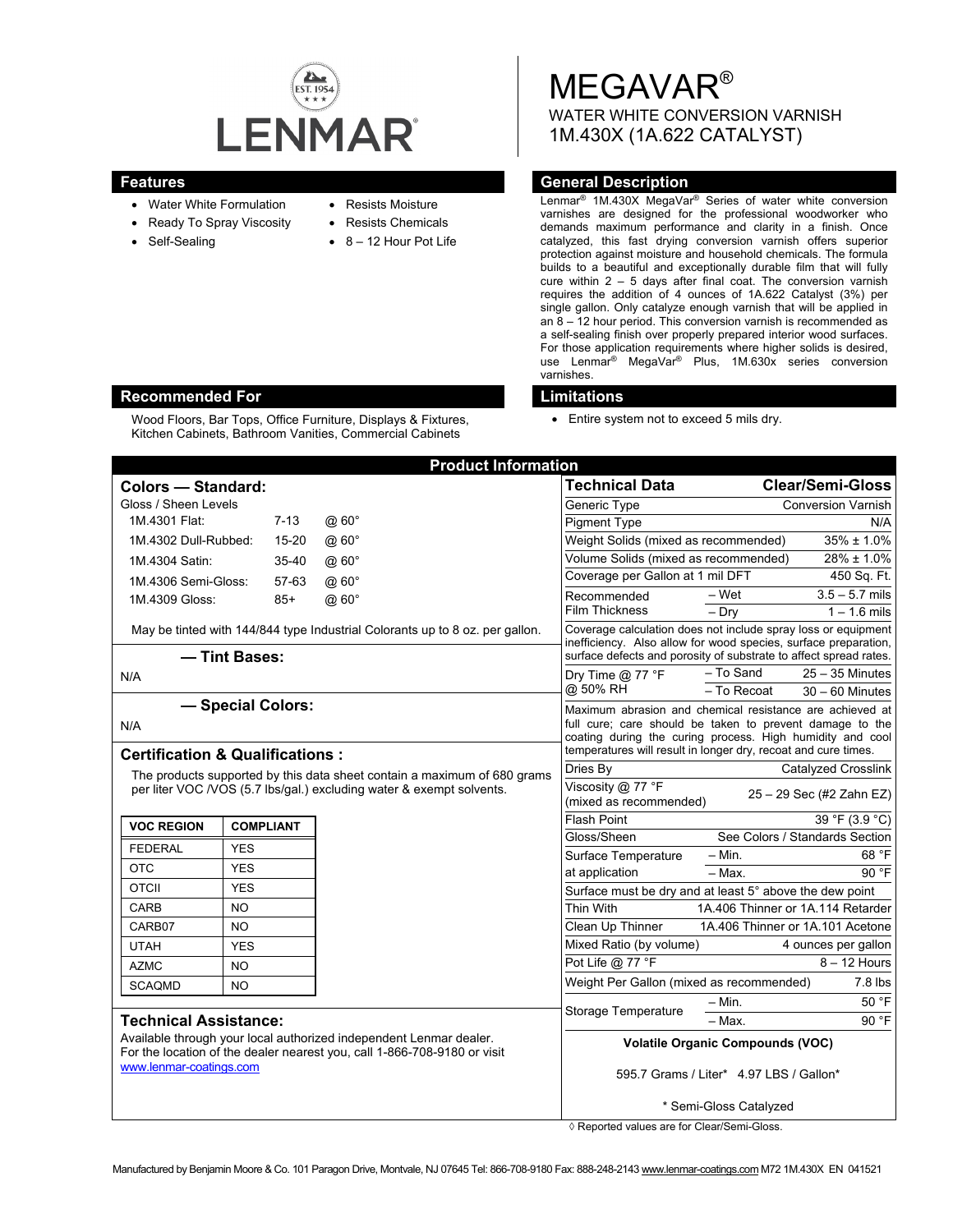

- Water White Formulation
- Ready To Spray Viscosity
- Self-Sealing
- Resists Moisture
- Resists Chemicals
- 8 12 Hour Pot Life

MEGAVAR® WATER WHITE CONVERSION VARNISH 1M.430X (1A.622 CATALYST)

# **Features General Description**

Lenmar® 1M.430X MegaVar® Series of water white conversion varnishes are designed for the professional woodworker who demands maximum performance and clarity in a finish. Once catalyzed, this fast drying conversion varnish offers superior protection against moisture and household chemicals. The formula builds to a beautiful and exceptionally durable film that will fully cure within 2 – 5 days after final coat. The conversion varnish requires the addition of 4 ounces of 1A.622 Catalyst (3%) per single gallon. Only catalyze enough varnish that will be applied in an 8 – 12 hour period. This conversion varnish is recommended as a self-sealing finish over properly prepared interior wood surfaces. For those application requirements where higher solids is desired, use Lenmar® MegaVar® Plus, 1M.630x series conversion varnishes.

• Entire system not to exceed 5 mils dry.

|                                                                                                                                                                                                           |                  | <b>Product Information</b> |                                                                                                                                                                                                                                                     |                                                                                                                                             |  |
|-----------------------------------------------------------------------------------------------------------------------------------------------------------------------------------------------------------|------------------|----------------------------|-----------------------------------------------------------------------------------------------------------------------------------------------------------------------------------------------------------------------------------------------------|---------------------------------------------------------------------------------------------------------------------------------------------|--|
| <b>Colors - Standard:</b>                                                                                                                                                                                 |                  |                            | Technical Data                                                                                                                                                                                                                                      | <b>Clear/Semi-Gloss</b>                                                                                                                     |  |
| Gloss / Sheen Levels                                                                                                                                                                                      |                  |                            | Generic Type                                                                                                                                                                                                                                        | <b>Conversion Varnish</b>                                                                                                                   |  |
| 1M.4301 Flat:                                                                                                                                                                                             | $7-13$           | @60°                       | <b>Pigment Type</b>                                                                                                                                                                                                                                 | N/A                                                                                                                                         |  |
| 1M.4302 Dull-Rubbed:                                                                                                                                                                                      | $15 - 20$        | @60°                       | Weight Solids (mixed as recommended)                                                                                                                                                                                                                | $35\% \pm 1.0\%$                                                                                                                            |  |
| 1M.4304 Satin:                                                                                                                                                                                            | 35-40            | $@60^\circ$                | Volume Solids (mixed as recommended)                                                                                                                                                                                                                | 28% ± 1.0%                                                                                                                                  |  |
| 1M.4306 Semi-Gloss:                                                                                                                                                                                       | 57-63            | @60°                       | Coverage per Gallon at 1 mil DFT                                                                                                                                                                                                                    | 450 Sq. Ft.                                                                                                                                 |  |
| 1M.4309 Gloss:                                                                                                                                                                                            | $85+$            | @60°                       | Recommended<br><b>Film Thickness</b>                                                                                                                                                                                                                | $3.5 - 5.7$ mils<br>– Wet<br>$1 - 1.6$ mils                                                                                                 |  |
| May be tinted with 144/844 type Industrial Colorants up to 8 oz. per gallon.                                                                                                                              |                  |                            |                                                                                                                                                                                                                                                     | $-$ Dry<br>Coverage calculation does not include spray loss or equipment<br>inefficiency. Also allow for wood species, surface preparation, |  |
| - Tint Bases:                                                                                                                                                                                             |                  |                            | surface defects and porosity of substrate to affect spread rates.                                                                                                                                                                                   |                                                                                                                                             |  |
| N/A                                                                                                                                                                                                       |                  |                            | Dry Time $@$ 77 °F                                                                                                                                                                                                                                  | - To Sand<br>$25 - 35$ Minutes                                                                                                              |  |
|                                                                                                                                                                                                           |                  |                            | @ 50% RH                                                                                                                                                                                                                                            | - To Recoat<br>$30 - 60$ Minutes                                                                                                            |  |
| - Special Colors:<br>N/A<br><b>Certification &amp; Qualifications:</b>                                                                                                                                    |                  |                            | Maximum abrasion and chemical resistance are achieved at<br>full cure; care should be taken to prevent damage to the<br>coating during the curing process. High humidity and cool<br>temperatures will result in longer dry, recoat and cure times. |                                                                                                                                             |  |
| The products supported by this data sheet contain a maximum of 680 grams                                                                                                                                  |                  |                            | Dries By                                                                                                                                                                                                                                            | Catalyzed Crosslink                                                                                                                         |  |
| per liter VOC /VOS (5.7 lbs/gal.) excluding water & exempt solvents.                                                                                                                                      |                  |                            | Viscosity @ 77 °F<br>(mixed as recommended)                                                                                                                                                                                                         | 25 - 29 Sec (#2 Zahn EZ)                                                                                                                    |  |
| <b>VOC REGION</b>                                                                                                                                                                                         | <b>COMPLIANT</b> |                            | <b>Flash Point</b>                                                                                                                                                                                                                                  | 39 °F (3.9 °C)                                                                                                                              |  |
| <b>FEDERAL</b>                                                                                                                                                                                            | <b>YES</b>       |                            | Gloss/Sheen                                                                                                                                                                                                                                         | See Colors / Standards Section                                                                                                              |  |
| <b>OTC</b>                                                                                                                                                                                                | <b>YES</b>       |                            | Surface Temperature                                                                                                                                                                                                                                 | $-$ Min.<br>68 °F                                                                                                                           |  |
| <b>OTCII</b>                                                                                                                                                                                              | <b>YES</b>       |                            | at application                                                                                                                                                                                                                                      | $-$ Max.<br>90 °F                                                                                                                           |  |
| <b>CARB</b>                                                                                                                                                                                               | <b>NO</b>        |                            |                                                                                                                                                                                                                                                     | Surface must be dry and at least 5° above the dew point                                                                                     |  |
| CARB07                                                                                                                                                                                                    | <b>NO</b>        |                            | Thin With<br>Clean Up Thinner                                                                                                                                                                                                                       | 1A.406 Thinner or 1A.114 Retarder<br>1A.406 Thinner or 1A.101 Acetone                                                                       |  |
| <b>UTAH</b>                                                                                                                                                                                               | <b>YES</b>       |                            | Mixed Ratio (by volume)                                                                                                                                                                                                                             | 4 ounces per gallon                                                                                                                         |  |
|                                                                                                                                                                                                           |                  |                            | Pot Life @ 77 °F                                                                                                                                                                                                                                    | $8 - 12$ Hours                                                                                                                              |  |
| <b>AZMC</b>                                                                                                                                                                                               | <b>NO</b>        |                            | Weight Per Gallon (mixed as recommended)                                                                                                                                                                                                            | $7.8$ lbs                                                                                                                                   |  |
| <b>SCAQMD</b>                                                                                                                                                                                             | N <sub>O</sub>   |                            |                                                                                                                                                                                                                                                     | 50 °F<br>– Min.                                                                                                                             |  |
| <b>Technical Assistance:</b><br>Available through your local authorized independent Lenmar dealer.<br>For the location of the dealer nearest you, call 1-866-708-9180 or visit<br>www.lenmar-coatings.com |                  |                            | <b>Storage Temperature</b>                                                                                                                                                                                                                          | 90 °F<br>- Max.                                                                                                                             |  |
|                                                                                                                                                                                                           |                  |                            |                                                                                                                                                                                                                                                     | <b>Volatile Organic Compounds (VOC)</b>                                                                                                     |  |
|                                                                                                                                                                                                           |                  |                            |                                                                                                                                                                                                                                                     | 595.7 Grams / Liter* 4.97 LBS / Gallon*                                                                                                     |  |
|                                                                                                                                                                                                           |                  |                            |                                                                                                                                                                                                                                                     | * Semi-Gloss Catalyzed                                                                                                                      |  |

◊ Reported values are for Clear/Semi-Gloss.

### **Recommended For Limitations 2018**

Wood Floors, Bar Tops, Office Furniture, Displays & Fixtures, Kitchen Cabinets, Bathroom Vanities, Commercial Cabinets